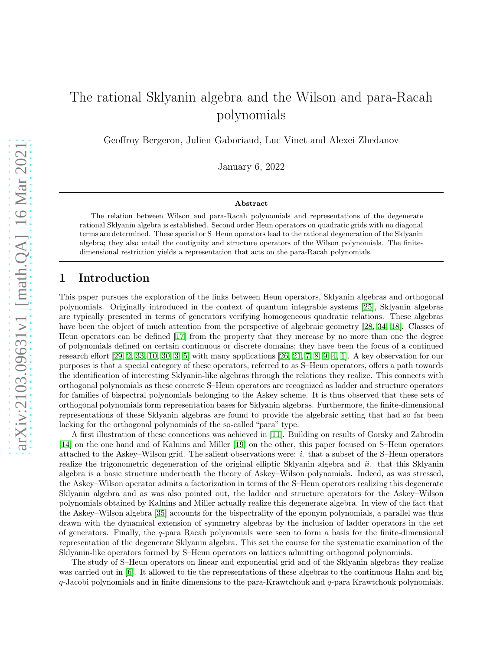# The rational Sklyanin algebra and the Wilson and para-Racah polynomials

Geoffroy Bergeron, Julien Gaboriaud, Luc Vinet and Alexei Zhedanov

January 6, 2022

#### Abstract

The relation between Wilson and para-Racah polynomials and representations of the degenerate rational Sklyanin algebra is established. Second order Heun operators on quadratic grids with no diagonal terms are determined. These special or S–Heun operators lead to the rational degeneration of the Sklyanin algebra; they also entail the contiguity and structure operators of the Wilson polynomials. The finitedimensional restriction yields a representation that acts on the para-Racah polynomials.

### 1 Introduction

This paper pursues the exploration of the links between Heun operators, Sklyanin algebras and orthogonal polynomials. Originally introduced in the context of quantum integrable systems [\[25\]](#page-15-0), Sklyanin algebras are typically presented in terms of generators verifying homogeneous quadratic relations. These algebras have been the object of much attention from the perspective of algebraic geometry [\[28,](#page-15-1) [34,](#page-15-2) [18\]](#page-14-0). Classes of Heun operators can be defined [\[17\]](#page-14-1) from the property that they increase by no more than one the degree of polynomials defined on certain continuous or discrete domains; they have been the focus of a continued research effort [\[29,](#page-15-3) [2,](#page-14-2) [33,](#page-15-4) [10,](#page-14-3) [30,](#page-15-5) [3,](#page-14-4) [5\]](#page-14-5) with many applications [\[26,](#page-15-6) [21,](#page-15-7) [7,](#page-14-6) [8,](#page-14-7) [9,](#page-14-8) [4,](#page-14-9) [1\]](#page-14-10). A key observation for our purposes is that a special category of these operators, referred to as S–Heun operators, offers a path towards the identification of interesting Sklyanin-like algebras through the relations they realize. This connects with orthogonal polynomials as these concrete S–Heun operators are recognized as ladder and structure operators for families of bispectral polynomials belonging to the Askey scheme. It is thus observed that these sets of orthogonal polynomials form representation bases for Sklyanin algebras. Furthermore, the finite-dimensional representations of these Sklyanin algebras are found to provide the algebraic setting that had so far been lacking for the orthogonal polynomials of the so-called "para" type.

A first illustration of these connections was achieved in [\[11\]](#page-14-11). Building on results of Gorsky and Zabrodin [\[14\]](#page-14-12) on the one hand and of Kalnins and Miller [\[19\]](#page-14-13) on the other, this paper focused on S–Heun operators attached to the Askey–Wilson grid. The salient observations were: i. that a subset of the S–Heun operators realize the trigonometric degeneration of the original elliptic Sklyanin algebra and ii. that this Sklyanin algebra is a basic structure underneath the theory of Askey–Wilson polynomials. Indeed, as was stressed, the Askey–Wilson operator admits a factorization in terms of the S–Heun operators realizing this degenerate Sklyanin algebra and as was also pointed out, the ladder and structure operators for the Askey–Wilson polynomials obtained by Kalnins and Miller actually realize this degenerate algebra. In view of the fact that the Askey–Wilson algebra [\[35\]](#page-15-8) accounts for the bispectrality of the eponym polynomials, a parallel was thus drawn with the dynamical extension of symmetry algebras by the inclusion of ladder operators in the set of generators. Finally, the q-para Racah polynomials were seen to form a basis for the finite-dimensional representation of the degenerate Sklyanin algebra. This set the course for the systematic examination of the Sklyanin-like operators formed by S–Heun operators on lattices admitting orthogonal polynomials.

The study of S–Heun operators on linear and exponential grid and of the Sklyanin algebras they realize was carried out in [\[6\]](#page-14-14). It allowed to tie the representations of these algebras to the continuous Hahn and big  $q$ -Jacobi polynomials and in finite dimensions to the para-Krawtchouk and  $q$ -para Krawtchouk polynomials.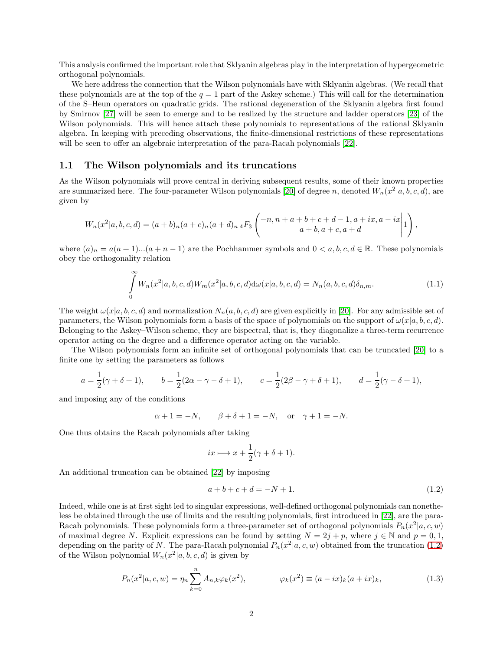This analysis confirmed the important role that Sklyanin algebras play in the interpretation of hypergeometric orthogonal polynomials.

We here address the connection that the Wilson polynomials have with Sklyanin algebras. (We recall that these polynomials are at the top of the  $q = 1$  part of the Askey scheme.) This will call for the determination of the S–Heun operators on quadratic grids. The rational degeneration of the Sklyanin algebra first found by Smirnov [\[27\]](#page-15-9) will be seen to emerge and to be realized by the structure and ladder operators [\[23\]](#page-15-10) of the Wilson polynomials. This will hence attach these polynomials to representations of the rational Sklyanin algebra. In keeping with preceding observations, the finite-dimensional restrictions of these representations will be seen to offer an algebraic interpretation of the para-Racah polynomials [\[22\]](#page-15-11).

#### 1.1 The Wilson polynomials and its truncations

As the Wilson polynomials will prove central in deriving subsequent results, some of their known properties are summarized here. The four-parameter Wilson polynomials [\[20\]](#page-15-12) of degree n, denoted  $W_n(x^2|a, b, c, d)$ , are given by

$$
W_n(x^2|a,b,c,d) = (a+b)_n(a+c)_n(a+d)_n 4F_3\left(\begin{matrix} -n, n+a+b+c+d-1, a+ix, a-ix\\ a+b, a+c, a+d \end{matrix}\bigg|1\right),
$$

where  $(a)_n = a(a+1)...(a+n-1)$  are the Pochhammer symbols and  $0 < a, b, c, d \in \mathbb{R}$ . These polynomials obey the orthogonality relation

$$
\int_{0}^{\infty} W_{n}(x^{2}|a,b,c,d)W_{m}(x^{2}|a,b,c,d) d\omega(x|a,b,c,d) = N_{n}(a,b,c,d) \delta_{n,m}.
$$
\n(1.1)

The weight  $\omega(x|a, b, c, d)$  and normalization  $N_n(a, b, c, d)$  are given explicitly in [\[20\]](#page-15-12). For any admissible set of parameters, the Wilson polynomials form a basis of the space of polynomials on the support of  $\omega(x|a, b, c, d)$ . Belonging to the Askey–Wilson scheme, they are bispectral, that is, they diagonalize a three-term recurrence operator acting on the degree and a difference operator acting on the variable.

The Wilson polynomials form an infinite set of orthogonal polynomials that can be truncated [\[20\]](#page-15-12) to a finite one by setting the parameters as follows

$$
a = \frac{1}{2}(\gamma + \delta + 1),
$$
  $b = \frac{1}{2}(2\alpha - \gamma - \delta + 1),$   $c = \frac{1}{2}(2\beta - \gamma + \delta + 1),$   $d = \frac{1}{2}(\gamma - \delta + 1),$ 

and imposing any of the conditions

$$
\alpha + 1 = -N
$$
,  $\beta + \delta + 1 = -N$ , or  $\gamma + 1 = -N$ .

One thus obtains the Racah polynomials after taking

<span id="page-1-1"></span>
$$
ix \longmapsto x + \frac{1}{2}(\gamma + \delta + 1).
$$

An additional truncation can be obtained [\[22\]](#page-15-11) by imposing

<span id="page-1-0"></span>
$$
a + b + c + d = -N + 1.
$$
 (1.2)

Indeed, while one is at first sight led to singular expressions, well-defined orthogonal polynomials can nonetheless be obtained through the use of limits and the resulting polynomials, first introduced in [\[22\]](#page-15-11), are the para-Racah polynomials. These polynomials form a three-parameter set of orthogonal polynomials  $P_n(x^2|a, c, w)$ of maximal degree N. Explicit expressions can be found by setting  $N = 2j + p$ , where  $j \in \mathbb{N}$  and  $p = 0, 1$ , depending on the parity of N. The para-Racah polynomial  $P_n(x^2|a, c, w)$  obtained from the truncation [\(1.2\)](#page-1-0) of the Wilson polynomial  $W_n(x^2|a, b, c, d)$  is given by

$$
P_n(x^2|a,c,w) = \eta_n \sum_{k=0}^n A_{n,k} \varphi_k(x^2), \qquad \varphi_k(x^2) \equiv (a - ix)_k (a + ix)_k, \qquad (1.3)
$$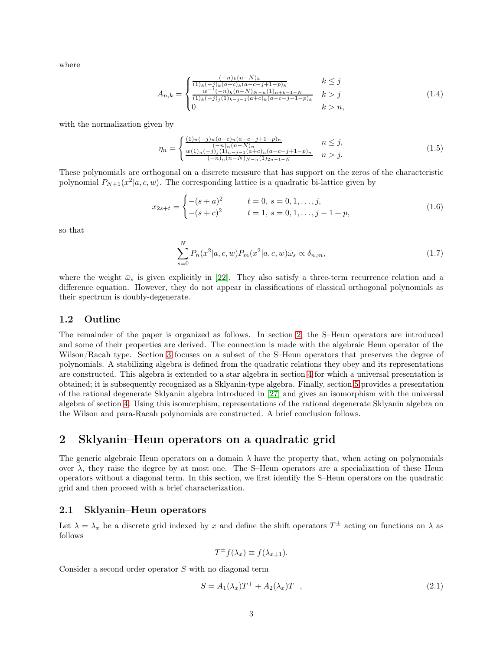where

$$
A_{n,k} = \begin{cases} \frac{(-n)_k (n-N)_k}{(1)_k (-j)_k (a+c)_k (a-c-j+1-p)_k} & k \le j\\ \frac{w^{-1}(-n)_k (n-N)_N - n(1)_{n+k-1-N}}{(1)_k (-j)_j (1)_{k-j-1} (a+c)_k (a-c-j+1-p)_k} & k > j\\ 0 & k > n, \end{cases} \tag{1.4}
$$

with the normalization given by

$$
\eta_n = \begin{cases} \frac{(1)_n (-j)_n (a+c)_n (a-c-j+1-p)_n}{(-n)_n (n-N)_n} & n \le j, \\ \frac{w(1)_n (-j)_j (1)_{n-j-1} (a+c)_n (a-c-j+1-p)_n}{(-n)_n (n-N)_{N-n} (1)_{2n-1-N}} & n > j. \end{cases}
$$
(1.5)

These polynomials are orthogonal on a discrete measure that has support on the zeros of the characteristic polynomial  $P_{N+1}(x^2|a, c, w)$ . The corresponding lattice is a quadratic bi-lattice given by

$$
x_{2s+t} = \begin{cases} -(s+a)^2 & t=0, s=0,1,\ldots,j, \\ -(s+c)^2 & t=1, s=0,1,\ldots,j-1+p, \end{cases}
$$
(1.6)

so that

$$
\sum_{s=0}^{N} P_n(x^2|a,c,w) P_m(x^2|a,c,w) \bar{\omega}_s \propto \delta_{n,m},\tag{1.7}
$$

where the weight  $\bar{\omega}_s$  is given explicitly in [\[22\]](#page-15-11). They also satisfy a three-term recurrence relation and a difference equation. However, they do not appear in classifications of classical orthogonal polynomials as their spectrum is doubly-degenerate.

#### 1.2 Outline

The remainder of the paper is organized as follows. In section [2,](#page-2-0) the S–Heun operators are introduced and some of their properties are derived. The connection is made with the algebraic Heun operator of the Wilson/Racah type. Section [3](#page-5-0) focuses on a subset of the S–Heun operators that preserves the degree of polynomials. A stabilizing algebra is defined from the quadratic relations they obey and its representations are constructed. This algebra is extended to a star algebra in section [4](#page-7-0) for which a universal presentation is obtained; it is subsequently recognized as a Sklyanin-type algebra. Finally, section [5](#page-9-0) provides a presentation of the rational degenerate Sklyanin algebra introduced in [\[27\]](#page-15-9) and gives an isomorphism with the universal algebra of section [4.](#page-7-0) Using this isomorphism, representations of the rational degenerate Sklyanin algebra on the Wilson and para-Racah polynomials are constructed. A brief conclusion follows.

### <span id="page-2-0"></span>2 Sklyanin–Heun operators on a quadratic grid

The generic algebraic Heun operators on a domain  $\lambda$  have the property that, when acting on polynomials over  $\lambda$ , they raise the degree by at most one. The S–Heun operators are a specialization of these Heun operators without a diagonal term. In this section, we first identify the S–Heun operators on the quadratic grid and then proceed with a brief characterization.

#### 2.1 Sklyanin–Heun operators

Let  $\lambda = \lambda_x$  be a discrete grid indexed by x and define the shift operators  $T^{\pm}$  acting on functions on  $\lambda$  as follows

<span id="page-2-1"></span>
$$
T^{\pm}f(\lambda_x) \equiv f(\lambda_{x\pm 1}).
$$

Consider a second order operator S with no diagonal term

$$
S = A_1(\lambda_x)T^+ + A_2(\lambda_x)T^-, \qquad (2.1)
$$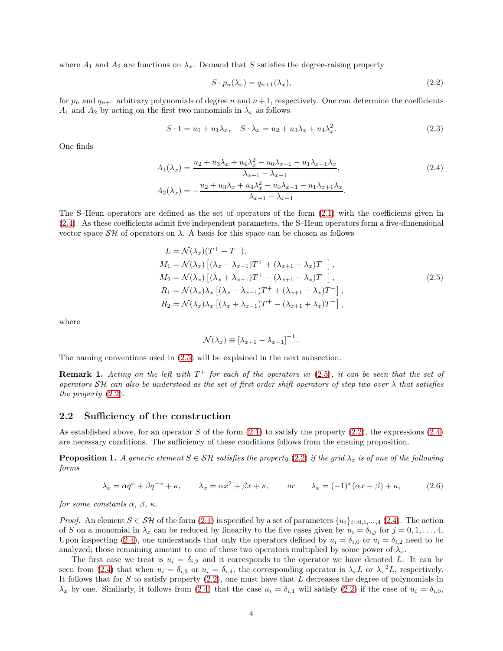where  $A_1$  and  $A_2$  are functions on  $\lambda_x$ . Demand that S satisfies the degree-raising property

<span id="page-3-2"></span><span id="page-3-0"></span>
$$
S \cdot p_n(\lambda_x) = q_{n+1}(\lambda_x), \tag{2.2}
$$

for  $p_n$  and  $q_{n+1}$  arbitrary polynomials of degree n and  $n+1$ , respectively. One can determine the coefficients  $A_1$  and  $A_2$  by acting on the first two monomials in  $\lambda_x$  as follows

$$
S \cdot 1 = u_0 + u_1 \lambda_x, \quad S \cdot \lambda_x = u_2 + u_3 \lambda_x + u_4 \lambda_x^2. \tag{2.3}
$$

One finds

$$
A_1(\lambda_x) = \frac{u_2 + u_3 \lambda_x + u_4 \lambda_x^2 - u_0 \lambda_{x-1} - u_1 \lambda_{x-1} \lambda_x}{\lambda_{x+1} - \lambda_{x-1}},
$$
  
\n
$$
A_2(\lambda_x) = -\frac{u_2 + u_3 \lambda_x + u_4 \lambda_x^2 - u_0 \lambda_{x+1} - u_1 \lambda_{x+1} \lambda_x}{\lambda_{x+1} - \lambda_{x-1}}.
$$
\n(2.4)

The S–Heun operators are defined as the set of operators of the form [\(2.1\)](#page-2-1) with the coefficients given in [\(2.4\)](#page-3-0). As these coefficients admit five independent parameters, the S–Heun operators form a five-dimensional vector space  $\mathcal{SH}$  of operators on  $\lambda$ . A basis for this space can be chosen as follows

$$
L = \mathcal{N}(\lambda_x)(T^+ - T^-),
$$
  
\n
$$
M_1 = \mathcal{N}(\lambda_x) [(\lambda_x - \lambda_{x-1})T^+ + (\lambda_{x+1} - \lambda_x)T^-],
$$
  
\n
$$
M_2 = \mathcal{N}(\lambda_x) [(\lambda_x + \lambda_{x-1})T^+ - (\lambda_{x+1} + \lambda_x)T^-],
$$
  
\n
$$
R_1 = \mathcal{N}(\lambda_x)\lambda_x [(\lambda_x - \lambda_{x-1})T^+ + (\lambda_{x+1} - \lambda_x)T^-],
$$
  
\n
$$
R_2 = \mathcal{N}(\lambda_x)\lambda_x [(\lambda_x + \lambda_{x-1})T^+ - (\lambda_{x+1} + \lambda_x)T^-],
$$
\n(2.5)

where

<span id="page-3-3"></span><span id="page-3-1"></span>
$$
\mathcal{N}(\lambda_x) \equiv [\lambda_{x+1} - \lambda_{x-1}]^{-1}.
$$

The naming conventions used in [\(2.5\)](#page-3-1) will be explained in the next subsection.

<span id="page-3-5"></span>**Remark 1.** Acting on the left with  $T^+$  for each of the operators in [\(2.5\)](#page-3-1), it can be seen that the set of operators  $SH$  can also be understood as the set of first order shift operators of step two over  $\lambda$  that satisfies the property [\(2.2\)](#page-3-2).

#### 2.2 Sufficiency of the construction

As established above, for an operator S of the form  $(2.1)$  to satisfy the property  $(2.2)$ , the expressions  $(2.4)$ are necessary conditions. The sufficiency of these conditions follows from the ensuing proposition.

<span id="page-3-4"></span>**Proposition 1.** A generic element  $S \in \mathcal{SH}$  satisfies the property [\(2.2\)](#page-3-2) if the grid  $\lambda_x$  is of one of the following forms

$$
\lambda_x = \alpha q^x + \beta q^{-x} + \kappa, \qquad \lambda_x = \alpha x^2 + \beta x + \kappa, \qquad or \qquad \lambda_x = (-1)^x (\alpha x + \beta) + \kappa, \tag{2.6}
$$

for some constants  $\alpha$ ,  $\beta$ ,  $\kappa$ .

*Proof.* An element  $S \in \mathcal{SH}$  of the form [\(2.1\)](#page-2-1) is specified by a set of parameters  $\{u_i\}_{i=0,1,\dots,4}$  [\(2.4\)](#page-3-0). The action of S on a monomial in  $\lambda_x$  can be reduced by linearity to the five cases given by  $u_i = \delta_{i,j}$  for  $j = 0, 1, \ldots, 4$ . Upon inspecting [\(2.4\)](#page-3-0), one understands that only the operators defined by  $u_i = \delta_{i,0}$  or  $u_i = \delta_{i,2}$  need to be analyzed; those remaining amount to one of these two operators multiplied by some power of  $\lambda_x$ .

The first case we treat is  $u_i = \delta_{i,2}$  and it corresponds to the operator we have denoted L. It can be seen from [\(2.4\)](#page-3-0) that when  $u_i = \delta_{i,3}$  or  $u_i = \delta_{i,4}$ , the corresponding operator is  $\lambda_x L$  or  $\lambda_x L$ , respectively. It follows that for  $S$  to satisfy property  $(2.2)$ , one must have that  $L$  decreases the degree of polynomials in  $\lambda_x$  by one. Similarly, it follows from [\(2.4\)](#page-3-0) that the case  $u_i = \delta_{i,1}$  will satisfy [\(2.2\)](#page-3-2) if the case of  $u_i = \delta_{i,0}$ ,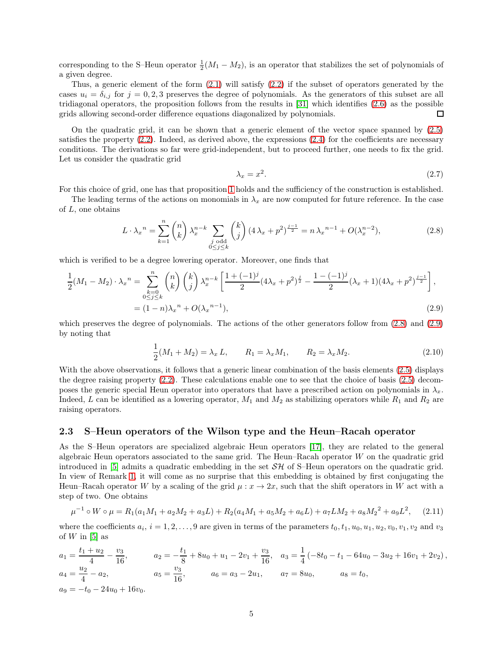corresponding to the S–Heun operator  $\frac{1}{2}(M_1 - M_2)$ , is an operator that stabilizes the set of polynomials of a given degree.

Thus, a generic element of the form [\(2.1\)](#page-2-1) will satisfy [\(2.2\)](#page-3-2) if the subset of operators generated by the cases  $u_i = \delta_{i,j}$  for  $j = 0, 2, 3$  preserves the degree of polynomials. As the generators of this subset are all tridiagonal operators, the proposition follows from the results in [\[31\]](#page-15-13) which identifies [\(2.6\)](#page-3-3) as the possible grids allowing second-order difference equations diagonalized by polynomials.  $\Box$ 

On the quadratic grid, it can be shown that a generic element of the vector space spanned by [\(2.5\)](#page-3-1) satisfies the property [\(2.2\)](#page-3-2). Indeed, as derived above, the expressions [\(2.4\)](#page-3-0) for the coefficients are necessary conditions. The derivations so far were grid-independent, but to proceed further, one needs to fix the grid. Let us consider the quadratic grid

<span id="page-4-3"></span><span id="page-4-1"></span><span id="page-4-0"></span>
$$
\lambda_x = x^2. \tag{2.7}
$$

For this choice of grid, one has that proposition [1](#page-3-4) holds and the sufficiency of the construction is established.

The leading terms of the actions on monomials in  $\lambda_x$  are now computed for future reference. In the case of  $L$ , one obtains

$$
L \cdot \lambda_x^n = \sum_{k=1}^n \binom{n}{k} \lambda_x^{n-k} \sum_{\substack{j \text{ odd} \\ 0 \le j \le k}} \binom{k}{j} \left(4\lambda_x + p^2\right)^{\frac{j-1}{2}} = n \lambda_x^{n-1} + O(\lambda_x^{n-2}),\tag{2.8}
$$

which is verified to be a degree lowering operator. Moreover, one finds that

$$
\frac{1}{2}(M_1 - M_2) \cdot \lambda_x^n = \sum_{\substack{k=0 \\ 0 \le j \le k}}^n {n \choose k} {k \choose j} \lambda_x^{n-k} \left[ \frac{1 + (-1)^j}{2} (4\lambda_x + p^2)^{\frac{j}{2}} - \frac{1 - (-1)^j}{2} (\lambda_x + 1) (4\lambda_x + p^2)^{\frac{j-1}{2}} \right],
$$
\n
$$
= (1 - n)\lambda_x^n + O(\lambda_x^{n-1}),
$$
\n(2.9)

which preserves the degree of polynomials. The actions of the other generators follow from  $(2.8)$  and  $(2.9)$ by noting that

<span id="page-4-2"></span>
$$
\frac{1}{2}(M_1 + M_2) = \lambda_x L, \qquad R_1 = \lambda_x M_1, \qquad R_2 = \lambda_x M_2. \tag{2.10}
$$

With the above observations, it follows that a generic linear combination of the basis elements [\(2.5\)](#page-3-1) displays the degree raising property [\(2.2\)](#page-3-2). These calculations enable one to see that the choice of basis [\(2.5\)](#page-3-1) decomposes the generic special Heun operator into operators that have a prescribed action on polynomials in  $\lambda_x$ . Indeed, L can be identified as a lowering operator,  $M_1$  and  $M_2$  as stabilizing operators while  $R_1$  and  $R_2$  are raising operators.

### 2.3 S–Heun operators of the Wilson type and the Heun–Racah operator

As the S–Heun operators are specialized algebraic Heun operators [\[17\]](#page-14-1), they are related to the general algebraic Heun operators associated to the same grid. The Heun–Racah operator  $W$  on the quadratic grid introduced in [\[5\]](#page-14-5) admits a quadratic embedding in the set  $\mathcal{SH}$  of S–Heun operators on the quadratic grid. In view of Remark [1,](#page-3-5) it will come as no surprise that this embedding is obtained by first conjugating the Heun–Racah operator W by a scaling of the grid  $\mu : x \to 2x$ , such that the shift operators in W act with a step of two. One obtains

$$
\mu^{-1} \circ W \circ \mu = R_1(a_1M_1 + a_2M_2 + a_3L) + R_2(a_4M_1 + a_5M_2 + a_6L) + a_7LM_2 + a_8M_2^2 + a_9L^2, \quad (2.11)
$$

where the coefficients  $a_i$ ,  $i = 1, 2, ..., 9$  are given in terms of the parameters  $t_0, t_1, u_0, u_1, u_2, v_0, v_1, v_2$  and  $v_3$ of  $W$  in [\[5\]](#page-14-5) as

$$
a_1 = \frac{t_1 + u_2}{4} - \frac{v_3}{16}, \qquad a_2 = -\frac{t_1}{8} + 8u_0 + u_1 - 2v_1 + \frac{v_3}{16}, \quad a_3 = \frac{1}{4} \left( -8t_0 - t_1 - 64u_0 - 3u_2 + 16v_1 + 2v_2 \right),
$$
  
\n
$$
a_4 = \frac{u_2}{4} - a_2, \qquad a_5 = \frac{v_3}{16}, \qquad a_6 = a_3 - 2u_1, \qquad a_7 = 8u_0, \qquad a_8 = t_0,
$$
  
\n
$$
a_9 = -t_0 - 24u_0 + 16v_0.
$$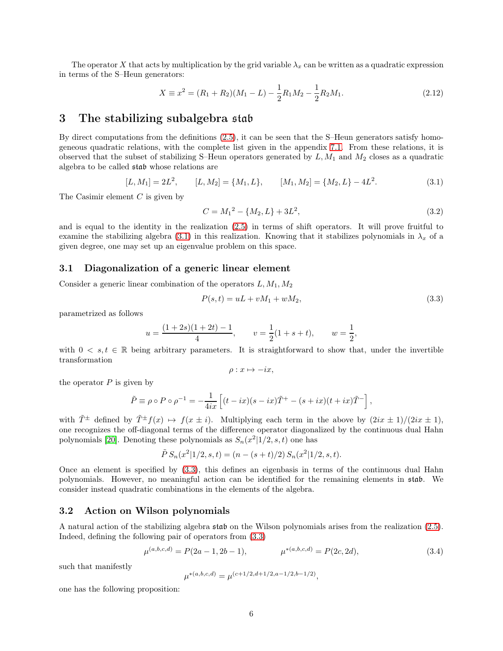The operator X that acts by multiplication by the grid variable  $\lambda_x$  can be written as a quadratic expression in terms of the S–Heun generators:

$$
X \equiv x^2 = (R_1 + R_2)(M_1 - L) - \frac{1}{2}R_1M_2 - \frac{1}{2}R_2M_1.
$$
\n(2.12)

### <span id="page-5-0"></span>3 The stabilizing subalgebra stab

By direct computations from the definitions [\(2.5\)](#page-3-1), it can be seen that the S–Heun generators satisfy homogeneous quadratic relations, with the complete list given in the appendix [7.1.](#page-13-0) From these relations, it is observed that the subset of stabilizing S–Heun operators generated by  $L, M_1$  and  $M_2$  closes as a quadratic algebra to be called stab whose relations are

$$
[L, M_1] = 2L^2, \qquad [L, M_2] = \{M_1, L\}, \qquad [M_1, M_2] = \{M_2, L\} - 4L^2. \tag{3.1}
$$

The Casimir element C is given by

<span id="page-5-4"></span><span id="page-5-1"></span>
$$
C = M_1^2 - \{M_2, L\} + 3L^2,\tag{3.2}
$$

and is equal to the identity in the realization [\(2.5\)](#page-3-1) in terms of shift operators. It will prove fruitful to examine the stabilizing algebra [\(3.1\)](#page-5-1) in this realization. Knowing that it stabilizes polynomials in  $\lambda_x$  of a given degree, one may set up an eigenvalue problem on this space.

#### 3.1 Diagonalization of a generic linear element

Consider a generic linear combination of the operators  $L, M_1, M_2$ 

$$
P(s,t) = uL + vM_1 + wM_2,
$$
\n(3.3)

parametrized as follows

$$
u = \frac{(1+2s)(1+2t)-1}{4}
$$
,  $v = \frac{1}{2}(1+s+t)$ ,  $w = \frac{1}{2}$ ,

with  $0 \leq s, t \in \mathbb{R}$  being arbitrary parameters. It is straightforward to show that, under the invertible transformation

<span id="page-5-2"></span>
$$
\rho: x \mapsto -ix,
$$

the operator  $P$  is given by

$$
\tilde{P} \equiv \rho \circ P \circ \rho^{-1} = -\frac{1}{4ix} \left[ (t - ix)(s - ix)\tilde{T}^+ - (s + ix)(t + ix)\tilde{T}^- \right],
$$

with  $\tilde{T}^{\pm}$  defined by  $\tilde{T}^{\pm}f(x) \mapsto f(x \pm i)$ . Multiplying each term in the above by  $(2ix \pm 1)/(2ix \pm 1)$ , one recognizes the off-diagonal terms of the difference operator diagonalized by the continuous dual Hahn polynomials [\[20\]](#page-15-12). Denoting these polynomials as  $S_n(x^2|1/2, s, t)$  one has

$$
\tilde{P} S_n(x^2|1/2, s, t) = (n - (s + t)/2) S_n(x^2|1/2, s, t).
$$

Once an element is specified by [\(3.3\)](#page-5-2), this defines an eigenbasis in terms of the continuous dual Hahn polynomials. However, no meaningful action can be identified for the remaining elements in stab. We consider instead quadratic combinations in the elements of the algebra.

#### 3.2 Action on Wilson polynomials

A natural action of the stabilizing algebra stab on the Wilson polynomials arises from the realization [\(2.5\)](#page-3-1). Indeed, defining the following pair of operators from [\(3.3\)](#page-5-2)

$$
\mu^{(a,b,c,d)} = P(2a-1, 2b-1), \qquad \mu^{*(a,b,c,d)} = P(2c, 2d), \qquad (3.4)
$$

such that manifestly

<span id="page-5-3"></span>
$$
\mu^{*(a,b,c,d)} = \mu^{(c+1/2,d+1/2,a-1/2,b-1/2)},
$$

one has the following proposition: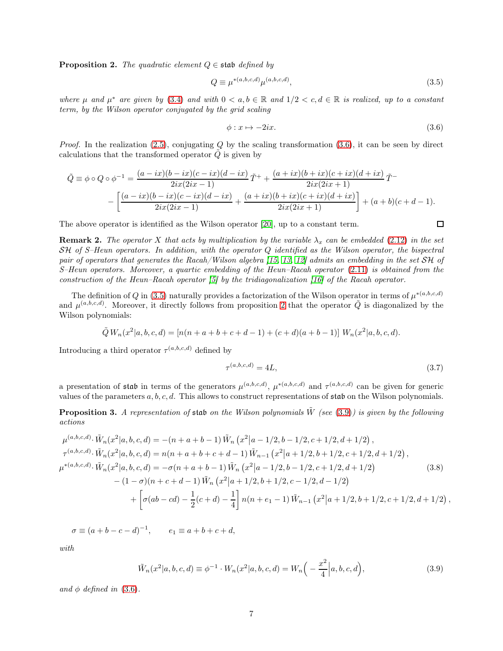<span id="page-6-2"></span>**Proposition 2.** The quadratic element  $Q \in \mathfrak{stab}$  defined by

$$
Q \equiv \mu^{*(a,b,c,d)} \mu^{(a,b,c,d)}, \tag{3.5}
$$

where  $\mu$  and  $\mu^*$  are given by [\(3.4\)](#page-5-3) and with  $0 < a, b \in \mathbb{R}$  and  $1/2 < c, d \in \mathbb{R}$  is realized, up to a constant term, by the Wilson operator conjugated by the grid scaling

$$
\phi: x \mapsto -2ix. \tag{3.6}
$$

*Proof.* In the realization [\(2.5\)](#page-3-1), conjugating  $Q$  by the scaling transformation [\(3.6\)](#page-6-0), it can be seen by direct calculations that the transformed operator  $\tilde{Q}$  is given by

$$
\tilde{Q} \equiv \phi \circ Q \circ \phi^{-1} = \frac{(a - ix)(b - ix)(c - ix)(d - ix)}{2ix(2ix - 1)} \tilde{T} + \frac{(a + ix)(b + ix)(c + ix)(d + ix)}{2ix(2ix + 1)} \tilde{T} - \left[ \frac{(a - ix)(b - ix)(c - ix)(d - ix)}{2ix(2ix - 1)} + \frac{(a + ix)(b + ix)(c + ix)(d + ix)}{2ix(2ix + 1)} \right] + (a + b)(c + d - 1).
$$

The above operator is identified as the Wilson operator [\[20\]](#page-15-12), up to a constant term.

**Remark 2.** The operator X that acts by multiplication by the variable  $\lambda_x$  can be embedded [\(2.12\)](#page-5-4) in the set SH of S–Heun operators. In addition, with the operator Q identified as the Wilson operator, the bispectral pair of operators that generates the Racah/Wilson algebra [\[15,](#page-14-15) [13,](#page-14-16) [12\]](#page-14-17) admits an embedding in the set SH of S–Heun operators. Moreover, a quartic embedding of the Heun–Racah operator [\(2.11\)](#page-4-2) is obtained from the construction of the Heun–Racah operator [\[5\]](#page-14-5) by the tridiagonalization [\[16\]](#page-14-18) of the Racah operator.

The definition of Q in [\(3.5\)](#page-6-1) naturally provides a factorization of the Wilson operator in terms of  $\mu^{*(a,b,c,d)}$ and  $\mu^{(a,b,c,d)}$ . Moreover, it directly follows from proposition [2](#page-6-2) that the operator  $\tilde{Q}$  is diagonalized by the Wilson polynomials:

$$
\tilde{Q}W_n(x^2|a,b,c,d) = [n(n+a+b+c+d-1)+(c+d)(a+b-1)] W_n(x^2|a,b,c,d).
$$

Introducing a third operator  $\tau^{(a,b,c,d)}$  defined by

$$
\tau^{(a,b,c,d)} = 4L,\tag{3.7}
$$

a presentation of stab in terms of the generators  $\mu^{(a,b,c,d)}$ ,  $\mu^{*(a,b,c,d)}$  and  $\tau^{(a,b,c,d)}$  can be given for generic values of the parameters  $a, b, c, d$ . This allows to construct representations of  $\mathfrak{stab}$  on the Wilson polynomials.

**Proposition 3.** A representation of stab on the Wilson polynomials  $\tilde{W}$  (see [\(3.9\)](#page-6-3)) is given by the following actions

$$
\mu^{(a,b,c,d)} \cdot \tilde{W}_n(x^2|a,b,c,d) = -(n+a+b-1)\tilde{W}_n(x^2|a-1/2,b-1/2,c+1/2,d+1/2),
$$
  
\n
$$
\tau^{(a,b,c,d)} \cdot \tilde{W}_n(x^2|a,b,c,d) = n(n+a+b+c+d-1)\tilde{W}_{n-1}(x^2|a+1/2,b+1/2,c+1/2,d+1/2),
$$
  
\n
$$
\mu^{*(a,b,c,d)} \cdot \tilde{W}_n(x^2|a,b,c,d) = -\sigma(n+a+b-1)\tilde{W}_n(x^2|a-1/2,b-1/2,c+1/2,d+1/2)
$$
  
\n
$$
-(1-\sigma)(n+c+d-1)\tilde{W}_n(x^2|a+1/2,b+1/2,c-1/2,d-1/2)
$$
  
\n
$$
+\left[\sigma(ab-cd)-\frac{1}{2}(c+d)-\frac{1}{4}\right]n(n+e_1-1)\tilde{W}_{n-1}(x^2|a+1/2,b+1/2,c+1/2,d+1/2)
$$
 (3.8)

 $\sigma \equiv (a + b - c - d)^{-1}, \quad e_1 \equiv a + b + c + d,$ 

with

$$
\tilde{W}_n(x^2|a,b,c,d) \equiv \phi^{-1} \cdot W_n(x^2|a,b,c,d) = W_n\Big(-\frac{x^2}{4}\Big|a,b,c,d\Big),\tag{3.9}
$$

and  $\phi$  defined in [\(3.6\)](#page-6-0).

<span id="page-6-1"></span><span id="page-6-0"></span> $\Box$ 

<span id="page-6-5"></span><span id="page-6-4"></span><span id="page-6-3"></span>,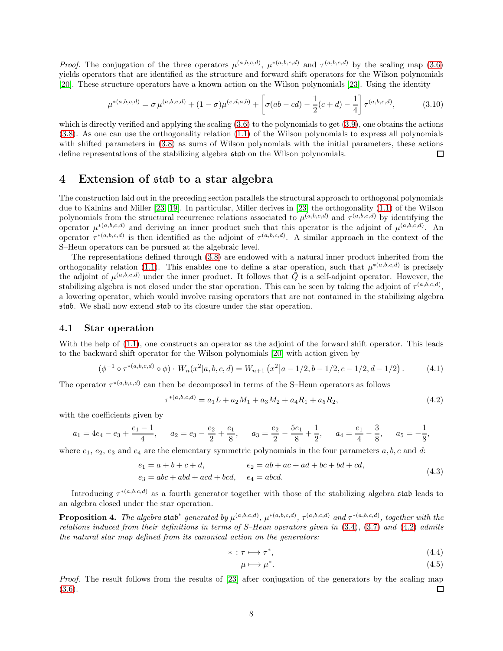*Proof.* The conjugation of the three operators  $\mu^{(a,b,c,d)}$ ,  $\mu^{*(a,b,c,d)}$  and  $\tau^{(a,b,c,d)}$  by the scaling map [\(3.6\)](#page-6-0) yields operators that are identified as the structure and forward shift operators for the Wilson polynomials [\[20\]](#page-15-12). These structure operators have a known action on the Wilson polynomials [\[23\]](#page-15-10). Using the identity

<span id="page-7-5"></span>
$$
\mu^{*(a,b,c,d)} = \sigma \,\mu^{(a,b,c,d)} + (1-\sigma)\mu^{(c,d,a,b)} + \left[\sigma(ab - cd) - \frac{1}{2}(c+d) - \frac{1}{4}\right]\tau^{(a,b,c,d)},\tag{3.10}
$$

which is directly verified and applying the scaling [\(3.6\)](#page-6-0) to the polynomials to get [\(3.9\)](#page-6-3), one obtains the actions [\(3.8\)](#page-6-4). As one can use the orthogonality relation [\(1.1\)](#page-1-1) of the Wilson polynomials to express all polynomials with shifted parameters in [\(3.8\)](#page-6-4) as sums of Wilson polynomials with the initial parameters, these actions define representations of the stabilizing algebra stab on the Wilson polynomials.  $\Box$ 

### <span id="page-7-0"></span>4 Extension of stab to a star algebra

The construction laid out in the preceding section parallels the structural approach to orthogonal polynomials due to Kalnins and Miller [\[23,](#page-15-10) [19\]](#page-14-13). In particular, Miller derives in [\[23\]](#page-15-10) the orthogonality [\(1.1\)](#page-1-1) of the Wilson polynomials from the structural recurrence relations associated to  $\mu^{(a,b,c,d)}$  and  $\tau^{(a,b,c,d)}$  by identifying the operator  $\mu^{*(a,b,c,d)}$  and deriving an inner product such that this operator is the adjoint of  $\mu^{(a,b,c,d)}$ . An operator  $\tau^{*(a,b,c,d)}$  is then identified as the adjoint of  $\tau^{(a,b,c,d)}$ . A similar approach in the context of the S–Heun operators can be pursued at the algebraic level.

The representations defined through [\(3.8\)](#page-6-4) are endowed with a natural inner product inherited from the orthogonality relation [\(1.1\)](#page-1-1). This enables one to define a star operation, such that  $\mu^{*(a,b,c,d)}$  is precisely the adjoint of  $\mu^{(a,b,c,d)}$  under the inner product. It follows that  $\tilde{Q}$  is a self-adjoint operator. However, the stabilizing algebra is not closed under the star operation. This can be seen by taking the adjoint of  $\tau^{(a,b,c,d)}$ , a lowering operator, which would involve raising operators that are not contained in the stabilizing algebra stab. We shall now extend stab to its closure under the star operation.

#### 4.1 Star operation

With the help of  $(1.1)$ , one constructs an operator as the adjoint of the forward shift operator. This leads to the backward shift operator for the Wilson polynomials [\[20\]](#page-15-12) with action given by

$$
(\phi^{-1} \circ \tau^{*(a,b,c,d)} \circ \phi) \cdot W_n(x^2 | a,b,c,d) = W_{n+1}(x^2 | a-1/2, b-1/2, c-1/2, d-1/2).
$$
 (4.1)

The operator  $\tau^{*(a,b,c,d)}$  can then be decomposed in terms of the S-Heun operators as follows

<span id="page-7-4"></span>
$$
\tau^{*(a,b,c,d)} = a_1 L + a_2 M_1 + a_3 M_2 + a_4 R_1 + a_5 R_2,\tag{4.2}
$$

with the coefficients given by

$$
a_1 = 4e_4 - e_3 + \frac{e_1 - 1}{4}
$$
,  $a_2 = e_3 - \frac{e_2}{2} + \frac{e_1}{8}$ ,  $a_3 = \frac{e_2}{2} - \frac{5e_1}{8} + \frac{1}{2}$ ,  $a_4 = \frac{e_1}{4} - \frac{3}{8}$ ,  $a_5 = -\frac{1}{8}$ 

where  $e_1, e_2, e_3$  and  $e_4$  are the elementary symmetric polynomials in the four parameters a, b, c and d:

$$
e_1 = a + b + c + d, \t e_2 = ab + ac + ad + bc + bd + cd,
$$
  
\n
$$
e_3 = abc + abd + acd + bcd, \t e_4 = abcd.
$$
\n(4.3)

Introducing  $\tau^{*(a,b,c,d)}$  as a fourth generator together with those of the stabilizing algebra stab leads to an algebra closed under the star operation.

**Proposition 4.** The algebra  $\mathfrak{stab}^*$  generated by  $\mu^{(a,b,c,d)}$ ,  $\mu^{*(a,b,c,d)}$ ,  $\tau^{(a,b,c,d)}$  and  $\tau^{*(a,b,c,d)}$ , together with the relations induced from their definitions in terms of S–Heun operators given in [\(3.4\)](#page-5-3), [\(3.7\)](#page-6-5) and [\(4.2\)](#page-7-1) admits the natural star map defined from its canonical action on the generators:

<span id="page-7-2"></span><span id="page-7-1"></span>
$$
* : \tau \longmapsto \tau^*, \tag{4.4}
$$

<span id="page-7-3"></span>
$$
\mu \longmapsto \mu^*.\tag{4.5}
$$

Proof. The result follows from the results of [\[23\]](#page-15-10) after conjugation of the generators by the scaling map [\(3.6\)](#page-6-0).  $\Box$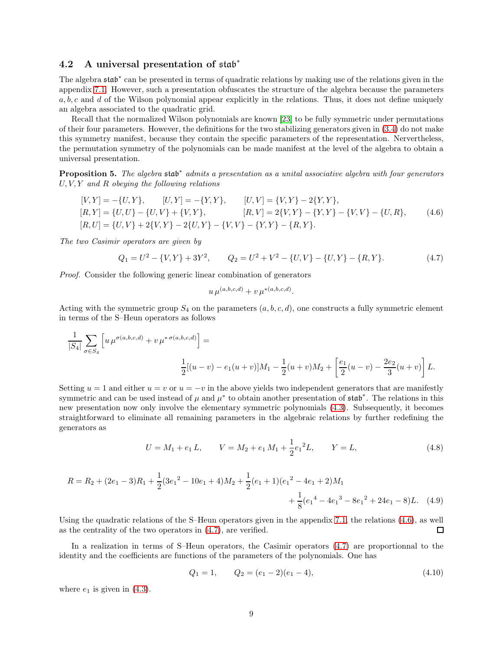#### 4.2 A universal presentation of stab<sup>∗</sup>

The algebra stab<sup>\*</sup> can be presented in terms of quadratic relations by making use of the relations given in the appendix [7.1.](#page-13-0) However, such a presentation obfuscates the structure of the algebra because the parameters  $a, b, c$  and d of the Wilson polynomial appear explicitly in the relations. Thus, it does not define uniquely an algebra associated to the quadratic grid.

Recall that the normalized Wilson polynomials are known [\[23\]](#page-15-10) to be fully symmetric under permutations of their four parameters. However, the definitions for the two stabilizing generators given in [\(3.4\)](#page-5-3) do not make this symmetry manifest, because they contain the specific parameters of the representation. Nervertheless, the permutation symmetry of the polynomials can be made manifest at the level of the algebra to obtain a universal presentation.

<span id="page-8-2"></span>Proposition 5. The algebra stab<sup>\*</sup> admits a presentation as a unital associative algebra with four generators  $U, V, Y$  and R obeying the following relations

$$
[V, Y] = -\{U, Y\}, \qquad [U, Y] = -\{Y, Y\}, \qquad [U, V] = \{V, Y\} - 2\{Y, Y\}, [R, Y] = \{U, U\} - \{U, V\} + \{V, Y\}, \qquad [R, V] = 2\{V, Y\} - \{Y, Y\} - \{V, V\} - \{U, R\}, \qquad (4.6)
$$

$$
[R, U] = \{U, V\} + 2\{V, Y\} - 2\{U, Y\} - \{V, V\} - \{Y, Y\} - \{R, Y\}.
$$

The two Casimir operators are given by

$$
Q_1 = U^2 - \{V, Y\} + 3Y^2, \qquad Q_2 = U^2 + V^2 - \{U, V\} - \{U, Y\} - \{R, Y\}.
$$
 (4.7)

Proof. Consider the following generic linear combination of generators

<span id="page-8-3"></span><span id="page-8-1"></span><span id="page-8-0"></span>
$$
u \,\mu^{(a,b,c,d)} + v \,\mu^{*(a,b,c,d)}.
$$

Acting with the symmetric group  $S_4$  on the parameters  $(a, b, c, d)$ , one constructs a fully symmetric element in terms of the S–Heun operators as follows

$$
\frac{1}{|S_4|} \sum_{\sigma \in S_4} \left[ u \,\mu^{\sigma(a,b,c,d)} + v \,\mu^{*\sigma(a,b,c,d)} \right] =
$$
\n
$$
\frac{1}{2} [(u-v) - e_1(u+v)] M_1 - \frac{1}{2} (u+v) M_2 + \left[ \frac{e_1}{2} (u-v) - \frac{2e_2}{3} (u+v) \right] L.
$$

Setting  $u = 1$  and either  $u = v$  or  $u = -v$  in the above yields two independent generators that are manifestly symmetric and can be used instead of  $\mu$  and  $\mu^*$  to obtain another presentation of  $\mathfrak{stab}^*$ . The relations in this new presentation now only involve the elementary symmetric polynomials [\(4.3\)](#page-7-2). Subsequently, it becomes straightforward to eliminate all remaining parameters in the algebraic relations by further redefining the generators as

$$
U = M_1 + e_1 L, \qquad V = M_2 + e_1 M_1 + \frac{1}{2} e_1^2 L, \qquad Y = L,
$$
\n(4.8)

$$
R = R_2 + (2e_1 - 3)R_1 + \frac{1}{2}(3e_1^2 - 10e_1 + 4)M_2 + \frac{1}{2}(e_1 + 1)(e_1^2 - 4e_1 + 2)M_1 + \frac{1}{8}(e_1^4 - 4e_1^3 - 8e_1^2 + 24e_1 - 8)L.
$$
 (4.9)

Using the quadratic relations of the S–Heun operators given in the appendix [7.1,](#page-13-0) the relations [\(4.6\)](#page-8-0), as well as the centrality of the two operators in [\(4.7\)](#page-8-1), are verified.  $\Box$ 

In a realization in terms of S–Heun operators, the Casimir operators [\(4.7\)](#page-8-1) are proportionnal to the identity and the coefficients are functions of the parameters of the polynomials. One has

<span id="page-8-4"></span>
$$
Q_1 = 1, \qquad Q_2 = (e_1 - 2)(e_1 - 4), \tag{4.10}
$$

where  $e_1$  is given in [\(4.3\)](#page-7-2).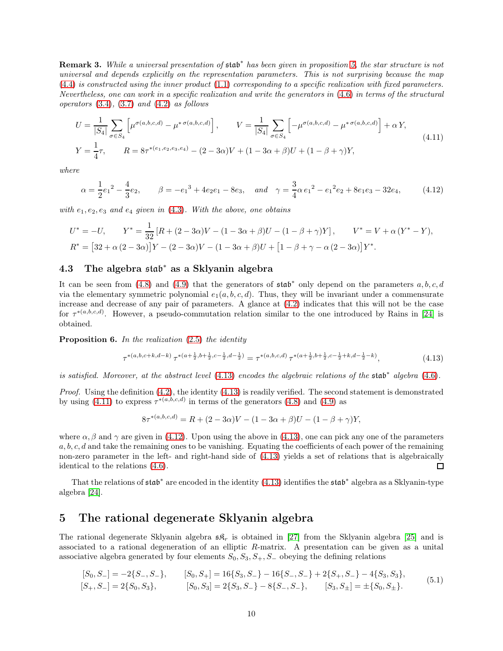Remark 3. While a universal presentation of stab<sup>\*</sup> has been given in proposition [5,](#page-8-2) the star structure is not universal and depends explicitly on the representation parameters. This is not surprising because the map [\(4.4\)](#page-7-3) is constructed using the inner product [\(1.1\)](#page-1-1) corresponding to a specific realization with fixed parameters. Nevertheless, one can work in a specific realization and write the generators in [\(4.6\)](#page-8-0) in terms of the structural operators  $(3.4)$ ,  $(3.7)$  and  $(4.2)$  as follows

$$
U = \frac{1}{|S_4|} \sum_{\sigma \in S_4} \left[ \mu^{\sigma(a,b,c,d)} - \mu^{*\sigma(a,b,c,d)} \right], \qquad V = \frac{1}{|S_4|} \sum_{\sigma \in S_4} \left[ -\mu^{\sigma(a,b,c,d)} - \mu^{*\sigma(a,b,c,d)} \right] + \alpha Y,
$$
  
\n
$$
Y = \frac{1}{4}\tau, \qquad R = 8\tau^{*(e_1,e_2,e_3,e_4)} - (2 - 3\alpha)V + (1 - 3\alpha + \beta)U + (1 - \beta + \gamma)Y,
$$
\n
$$
(4.11)
$$

where

<span id="page-9-3"></span><span id="page-9-2"></span>
$$
\alpha = \frac{1}{2}e_1^2 - \frac{4}{3}e_2, \qquad \beta = -e_1^3 + 4e_2e_1 - 8e_3, \quad \text{and} \quad \gamma = \frac{3}{4}\alpha e_1^2 - e_1^2e_2 + 8e_1e_3 - 32e_4,\tag{4.12}
$$

with  $e_1, e_2, e_3$  and  $e_4$  given in [\(4.3\)](#page-7-2). With the above, one obtains

$$
U^* = -U, \qquad Y^* = \frac{1}{32} \left[ R + (2 - 3\alpha)V - (1 - 3\alpha + \beta)U - (1 - \beta + \gamma)Y \right], \qquad V^* = V + \alpha (Y^* - Y),
$$
  
\n
$$
R^* = [32 + \alpha (2 - 3\alpha)]Y - (2 - 3\alpha)V - (1 - 3\alpha + \beta)U + [1 - \beta + \gamma - \alpha (2 - 3\alpha)]Y^*.
$$

# 4.3 The algebra stab<sup>∗</sup> as a Sklyanin algebra

It can be seen from [\(4.8\)](#page-8-3) and [\(4.9\)](#page-8-4) that the generators of  $\mathfrak{stab}^*$  only depend on the parameters  $a, b, c, d$ via the elementary symmetric polynomial  $e_1(a, b, c, d)$ . Thus, they will be invariant under a commensurate increase and decrease of any pair of parameters. A glance at [\(4.2\)](#page-7-1) indicates that this will not be the case for  $\tau^{*(a,b,c,d)}$ . However, a pseudo-commutation relation similar to the one introduced by Rains in [\[24\]](#page-15-14) is obtained.

**Proposition 6.** In the realization  $(2.5)$  the identity

$$
\tau^{*(a,b,c+k,d-k)}\,\tau^{*(a+\frac{1}{2},b+\frac{1}{2},c-\frac{1}{2},d-\frac{1}{2})} = \tau^{*(a,b,c,d)}\,\tau^{*(a+\frac{1}{2},b+\frac{1}{2},c-\frac{1}{2}+k,d-\frac{1}{2}-k)},\tag{4.13}
$$

is satisfied. Moreover, at the abstract level  $(4.13)$  encodes the algebraic relations of the  $\mathfrak{stab}^*$  algebra  $(4.6)$ .

*Proof.* Using the definition  $(4.2)$ , the identity  $(4.13)$  is readily verified. The second statement is demonstrated by using [\(4.11\)](#page-9-2) to express  $\tau^{*(a,b,c,d)}$  in terms of the generators [\(4.8\)](#page-8-3) and [\(4.9\)](#page-8-4) as

<span id="page-9-4"></span><span id="page-9-1"></span>
$$
8\tau^{*(a,b,c,d)} = R + (2 - 3\alpha)V - (1 - 3\alpha + \beta)U - (1 - \beta + \gamma)Y,
$$

where  $\alpha, \beta$  and  $\gamma$  are given in [\(4.12\)](#page-9-3). Upon using the above in [\(4.13\)](#page-9-1), one can pick any one of the parameters  $a, b, c, d$  and take the remaining ones to be vanishing. Equating the coefficients of each power of the remaining non-zero parameter in the left- and right-hand side of [\(4.13\)](#page-9-1) yields a set of relations that is algebraically identical to the relations [\(4.6\)](#page-8-0).  $\Box$ 

That the relations of  $\mathfrak{stab}^*$  are encoded in the identity [\(4.13\)](#page-9-1) identifies the  $\mathfrak{stab}^*$  algebra as a Sklyanin-type algebra [\[24\]](#page-15-14).

### <span id="page-9-0"></span>5 The rational degenerate Sklyanin algebra

The rational degenerate Sklyanin algebra  $\mathfrak{s} \mathfrak{K}_r$  is obtained in [\[27\]](#page-15-9) from the Sklyanin algebra [\[25\]](#page-15-0) and is associated to a rational degeneration of an elliptic R-matrix. A presentation can be given as a unital associative algebra generated by four elements  $S_0, S_3, S_+, S_-$  obeying the defining relations

$$
[S_0, S_-] = -2\{S_-, S_-\}, \qquad [S_0, S_+] = 16\{S_3, S_-\} - 16\{S_-, S_-\} + 2\{S_+, S_-\} - 4\{S_3, S_3\},
$$
  
\n
$$
[S_+, S_-] = 2\{S_0, S_3\}, \qquad [S_0, S_3] = 2\{S_3, S_-\} - 8\{S_-, S_-\}, \qquad [S_3, S_\pm] = \pm\{S_0, S_\pm\}.
$$
  
\n(5.1)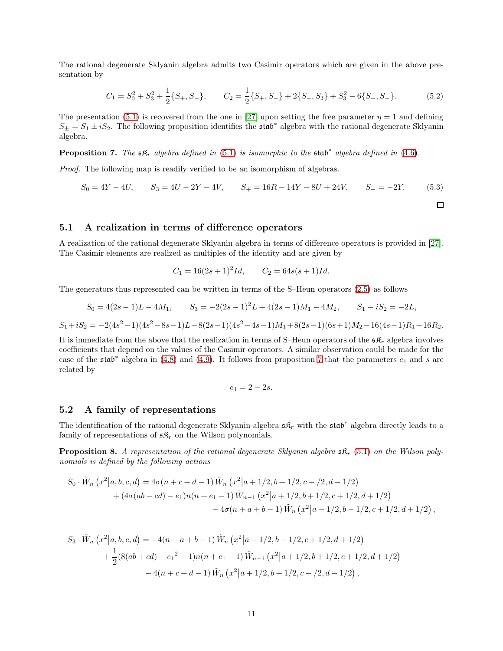The rational degenerate Sklyanin algebra admits two Casimir operators which are given in the above presentation by

$$
C_1 = S_0^2 + S_3^2 + \frac{1}{2} \{S_+, S_-\}, \qquad C_2 = \frac{1}{2} \{S_+, S_-\} + 2 \{S_-, S_3\} + S_3^2 - 6 \{S_-, S_-\}.
$$
 (5.2)

The presentation [\(5.1\)](#page-9-4) is recovered from the one in [\[27\]](#page-15-9) upon setting the free parameter  $\eta = 1$  and defining  $S_{\pm} = S_1 \pm iS_2$ . The following proposition identifies the stab<sup>\*</sup> algebra with the rational degenerate Sklyanin algebra.

<span id="page-10-0"></span>**Proposition 7.** The  $\mathfrak{sk}_r$  algebra defined in [\(5.1\)](#page-9-4) is isomorphic to the  $\mathfrak{stab}^*$  algebra defined in [\(4.6\)](#page-8-0).

Proof. The following map is readily verified to be an isomorphism of algebras.

$$
S_0 = 4Y - 4U, \t S_3 = 4U - 2Y - 4V, \t S_+ = 16R - 14Y - 8U + 24V, \t S_- = -2Y.
$$
(5.3)

#### 5.1 A realization in terms of difference operators

A realization of the rational degenerate Sklyanin algebra in terms of difference operators is provided in [\[27\]](#page-15-9). The Casimir elements are realized as multiples of the identity and are given by

<span id="page-10-2"></span>
$$
C_1 = 16(2s+1)^2 Id, \qquad C_2 = 64s(s+1)Id.
$$

The generators thus represented can be written in terms of the S–Heun operators [\(2.5\)](#page-3-1) as follows

$$
S_0 = 4(2s - 1)L - 4M_1, \qquad S_3 = -2(2s - 1)^2L + 4(2s - 1)M_1 - 4M_2, \qquad S_1 - iS_2 = -2L,
$$

$$
S_1 + iS_2 = -2(4s^2 - 1)(4s^2 - 8s - 1)L - 8(2s - 1)(4s^2 - 4s - 1)M_1 + 8(2s - 1)(6s + 1)M_2 - 16(4s - 1)R_1 + 16R_2.
$$

It is immediate from the above that the realization in terms of S–Heun operators of the  $\mathfrak{s}\mathfrak{K}_r$  algebra involves coefficients that depend on the values of the Casimir operators. A similar observation could be made for the case of the  $\mathfrak{stab}^*$  algebra in [\(4.8\)](#page-8-3) and [\(4.9\)](#page-8-4). It follows from proposition [7](#page-10-0) that the parameters  $e_1$  and s are related by

$$
e_1=2-2s.
$$

#### 5.2 A family of representations

The identification of the rational degenerate Sklyanin algebra  $\mathfrak{sa}_r$  with the  $\mathfrak{stab}^*$  algebra directly leads to a family of representations of  $\mathfrak{g}_{\mathcal{R}_r}$  on the Wilson polynomials.

<span id="page-10-1"></span>**Proposition 8.** A representation of the rational degenerate Sklyanin algebra  $\mathfrak{sk}_r$  [\(5.1\)](#page-9-4) on the Wilson polynomials is defined by the following actions

$$
S_0 \cdot \tilde{W}_n(x^2|a,b,c,d) = 4\sigma(n+c+d-1) \tilde{W}_n(x^2|a+1/2,b+1/2,c-/2,d-1/2)
$$
  
+ 
$$
(4\sigma(ab - cd) - e_1)n(n+e_1 - 1) \tilde{W}_{n-1}(x^2|a+1/2,b+1/2,c+1/2,d+1/2)
$$
  
- 
$$
4\sigma(n+a+b-1) \tilde{W}_n(x^2|a-1/2,b-1/2,c+1/2,d+1/2),
$$

$$
S_3 \cdot \tilde{W}_n(x^2|a, b, c, d) = -4(n+a+b-1)\tilde{W}_n(x^2|a-1/2, b-1/2, c+1/2, d+1/2)
$$
  
+  $\frac{1}{2}(8(ab+cd) - e_1^2 - 1)n(n+e_1 - 1)\tilde{W}_{n-1}(x^2|a+1/2, b+1/2, c+1/2, d+1/2)$   
-  $4(n+c+d-1)\tilde{W}_n(x^2|a+1/2, b+1/2, c-/2, d-1/2),$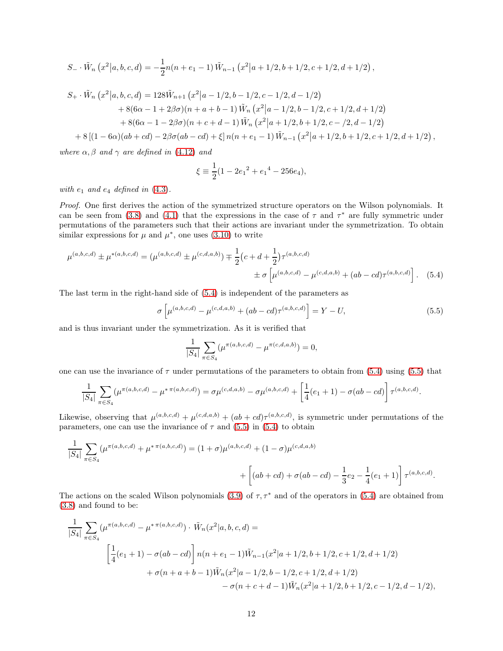$$
S_- \cdot \tilde{W}_n(x^2|a,b,c,d) = -\frac{1}{2}n(n+e_1-1)\tilde{W}_{n-1}(x^2|a+1/2,b+1/2,c+1/2,d+1/2),
$$

$$
S_{+} \cdot \tilde{W}_{n} (x^{2}|a, b, c, d) = 128 \tilde{W}_{n+1} (x^{2}|a - 1/2, b - 1/2, c - 1/2, d - 1/2)
$$
  
+ 8(6\alpha - 1 + 2\beta\sigma)(n + a + b - 1) \tilde{W}\_{n} (x^{2}|a - 1/2, b - 1/2, c + 1/2, d + 1/2)  
+ 8(6\alpha - 1 - 2\beta\sigma)(n + c + d - 1) \tilde{W}\_{n} (x^{2}|a + 1/2, b + 1/2, c - /2, d - 1/2)  
+ 8[(1 - 6\alpha)(ab + cd) - 2\beta\sigma(ab - cd) + \xi] n(n + e\_{1} - 1) \tilde{W}\_{n-1} (x^{2}|a + 1/2, b + 1/2, c + 1/2, d + 1/2),

where  $\alpha, \beta$  and  $\gamma$  are defined in [\(4.12\)](#page-9-3) and

$$
\xi \equiv \frac{1}{2}(1 - 2e_1^2 + e_1^4 - 256e_4),
$$

with  $e_1$  and  $e_4$  defined in  $(4.3)$ .

Proof. One first derives the action of the symmetrized structure operators on the Wilson polynomials. It can be seen from [\(3.8\)](#page-6-4) and [\(4.1\)](#page-7-4) that the expressions in the case of  $\tau$  and  $\tau^*$  are fully symmetric under permutations of the parameters such that their actions are invariant under the symmetrization. To obtain similar expressions for  $\mu$  and  $\mu^*$ , one uses [\(3.10\)](#page-7-5) to write

$$
\mu^{(a,b,c,d)} \pm \mu^{*(a,b,c,d)} = (\mu^{(a,b,c,d)} \pm \mu^{(c,d,a,b)}) \mp \frac{1}{2} (c+d+\frac{1}{2}) \tau^{(a,b,c,d)} \n\pm \sigma \left[ \mu^{(a,b,c,d)} - \mu^{(c,d,a,b)} + (ab - cd) \tau^{(a,b,c,d)} \right].
$$
 (5.4)

The last term in the right-hand side of [\(5.4\)](#page-11-0) is independent of the parameters as

$$
\sigma \left[ \mu^{(a,b,c,d)} - \mu^{(c,d,a,b)} + (ab - cd)\tau^{(a,b,c,d)} \right] = Y - U,
$$
\n(5.5)

and is thus invariant under the symmetrization. As it is verified that

<span id="page-11-1"></span><span id="page-11-0"></span>
$$
\frac{1}{|S_4|} \sum_{\pi \in S_4} (\mu^{\pi(a,b,c,d)} - \mu^{\pi(c,d,a,b)}) = 0,
$$

one can use the invariance of  $\tau$  under permutations of the parameters to obtain from [\(5.4\)](#page-11-0) using [\(5.5\)](#page-11-1) that

$$
\frac{1}{|S_4|} \sum_{\pi \in S_4} (\mu^{\pi(a,b,c,d)} - \mu^{*\pi(a,b,c,d)}) = \sigma \mu^{(c,d,a,b)} - \sigma \mu^{(a,b,c,d)} + \left[ \frac{1}{4} (e_1 + 1) - \sigma(ab - cd) \right] \tau^{(a,b,c,d)}.
$$

Likewise, observing that  $\mu^{(a,b,c,d)} + \mu^{(c,d,a,b)} + (ab+cd)\tau^{(a,b,c,d)}$ , is symmetric under permutations of the parameters, one can use the invariance of  $\tau$  and [\(5.5\)](#page-11-1) in [\(5.4\)](#page-11-0) to obtain

$$
\frac{1}{|S_4|} \sum_{\pi \in S_4} (\mu^{\pi(a,b,c,d)} + \mu^{*\pi(a,b,c,d)}) = (1+\sigma)\mu^{(a,b,c,d)} + (1-\sigma)\mu^{(c,d,a,b)} + \left[ (ab+cd) + \sigma(ab-cd) - \frac{1}{3}e_2 - \frac{1}{4}(e_1+1) \right] \tau^{(a,b,c,d)}.
$$

The actions on the scaled Wilson polynomials [\(3.9\)](#page-6-3) of  $\tau$ ,  $\tau^*$  and of the operators in [\(5.4\)](#page-11-0) are obtained from [\(3.8\)](#page-6-4) and found to be:

$$
\frac{1}{|S_4|} \sum_{\pi \in S_4} (\mu^{\pi(a,b,c,d)} - \mu^{*\pi(a,b,c,d)}) \cdot \tilde{W}_n(x^2|a,b,c,d) =
$$
\n
$$
\left[ \frac{1}{4} (e_1 + 1) - \sigma(ab - cd) \right] n(n + e_1 - 1) \tilde{W}_{n-1}(x^2|a+1/2, b+1/2, c+1/2, d+1/2)
$$
\n
$$
+ \sigma(n + a + b - 1) \tilde{W}_n(x^2|a-1/2, b-1/2, c+1/2, d+1/2)
$$
\n
$$
- \sigma(n + c + d - 1) \tilde{W}_n(x^2|a+1/2, b+1/2, c-1/2, d-1/2),
$$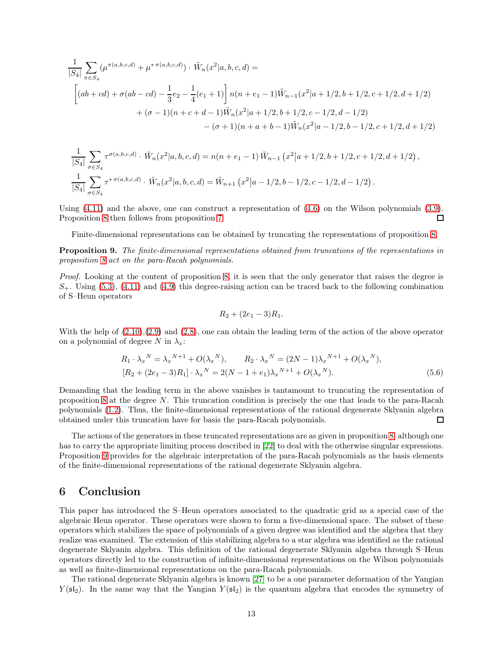$$
\frac{1}{|S_4|} \sum_{\pi \in S_4} (\mu^{\pi(a,b,c,d)} + \mu^{*\pi(a,b,c,d)}) \cdot \tilde{W}_n(x^2|a,b,c,d) =
$$
\n
$$
\left[ (ab+cd) + \sigma(ab-cd) - \frac{1}{3}e_2 - \frac{1}{4}(e_1+1) \right] n(n+e_1-1)\tilde{W}_{n-1}(x^2|a+1/2,b+1/2,c+1/2,d+1/2)
$$
\n
$$
+ (\sigma-1)(n+c+d-1)\tilde{W}_n(x^2|a+1/2,b+1/2,c-1/2,d-1/2)
$$
\n
$$
- (\sigma+1)(n+a+b-1)\tilde{W}_n(x^2|a-1/2,b-1/2,c+1/2,d+1/2)
$$

$$
\frac{1}{|S_4|} \sum_{\sigma \in S_4} \tau^{\sigma(a,b,c,d)} \cdot \tilde{W}_n(x^2|a,b,c,d) = n(n+e_1-1) \tilde{W}_{n-1}(x^2|a+1/2,b+1/2,c+1/2,d+1/2),
$$
  

$$
\frac{1}{|S_4|} \sum_{\sigma \in S_4} \tau^{*\sigma(a,b,c,d)} \cdot \tilde{W}_n(x^2|a,b,c,d) = \tilde{W}_{n+1}(x^2|a-1/2,b-1/2,c-1/2,d-1/2).
$$

Using  $(4.11)$  and the above, one can construct a representation of  $(4.6)$  on the Wilson polynomials  $(3.9)$ . Proposition [8](#page-10-1) then follows from proposition [7.](#page-10-0) П

Finite-dimensional representations can be obtained by truncating the representations of proposition [8.](#page-10-1)

<span id="page-12-0"></span>**Proposition 9.** The finite-dimensional representations obtained from truncations of the representations in proposition [8](#page-10-1) act on the para-Racah polynomials.

Proof. Looking at the content of proposition [8,](#page-10-1) it is seen that the only generator that raises the degree is  $S_{+}$ . Using [\(5.3\)](#page-10-2), [\(4.11\)](#page-9-2) and [\(4.9\)](#page-8-4) this degree-raising action can be traced back to the following combination of S–Heun operators

$$
R_2 + (2e_1 - 3)R_1.
$$

With the help of  $(2.10),(2.9)$  $(2.10),(2.9)$  and  $(2.8)$ , one can obtain the leading term of the action of the above operator on a polynomial of degree N in  $\lambda_x$ :

$$
R_1 \cdot \lambda_x^N = \lambda_x^{N+1} + O(\lambda_x^N), \qquad R_2 \cdot \lambda_x^N = (2N-1)\lambda_x^{N+1} + O(\lambda_x^N),
$$
  
\n
$$
[R_2 + (2e_1 - 3)R_1] \cdot \lambda_x^N = 2(N - 1 + e_1)\lambda_x^{N+1} + O(\lambda_x^N).
$$
\n(5.6)

Demanding that the leading term in the above vanishes is tantamount to truncating the representation of proposition [8](#page-10-1) at the degree N. This truncation condition is precisely the one that leads to the para-Racah polynomials [\(1.2\)](#page-1-0). Thus, the finite-dimensional representations of the rational degenerate Sklyanin algebra obtained under this truncation have for basis the para-Racah polynomials.  $\Box$ 

The actions of the generators in these truncated representations are as given in proposition [8,](#page-10-1) although one has to carry the appropriate limiting process described in [\[22\]](#page-15-11) to deal with the otherwise singular expressions. Proposition [9](#page-12-0) provides for the algebraic interpretation of the para-Racah polynomials as the basis elements of the finite-dimensional representations of the rational degenerate Sklyanin algebra.

### 6 Conclusion

This paper has introduced the S–Heun operators associated to the quadratic grid as a special case of the algebraic Heun operator. These operators were shown to form a five-dimensional space. The subset of these operators which stabilizes the space of polynomials of a given degree was identified and the algebra that they realize was examined. The extension of this stabilizing algebra to a star algebra was identified as the rational degenerate Sklyanin algebra. This definition of the rational degenerate Sklyanin algebra through S–Heun operators directly led to the construction of infinite-dimensional representations on the Wilson polynomials as well as finite-dimensional representations on the para-Racah polynomials.

The rational degenerate Sklyanin algebra is known [\[27\]](#page-15-9) to be a one parameter deformation of the Yangian  $Y(\mathfrak{sl}_2)$ . In the same way that the Yangian  $Y(\mathfrak{sl}_2)$  is the quantum algebra that encodes the symmetry of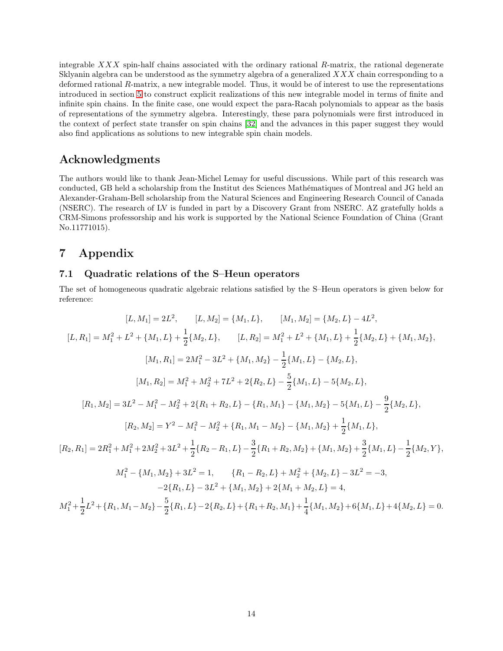integrable  $XXX$  spin-half chains associated with the ordinary rational R-matrix, the rational degenerate Sklyanin algebra can be understood as the symmetry algebra of a generalized XXX chain corresponding to a deformed rational R-matrix, a new integrable model. Thus, it would be of interest to use the representations introduced in section [5](#page-9-0) to construct explicit realizations of this new integrable model in terms of finite and infinite spin chains. In the finite case, one would expect the para-Racah polynomials to appear as the basis of representations of the symmetry algebra. Interestingly, these para polynomials were first introduced in the context of perfect state transfer on spin chains [\[32\]](#page-15-15) and the advances in this paper suggest they would also find applications as solutions to new integrable spin chain models.

## Acknowledgments

The authors would like to thank Jean-Michel Lemay for useful discussions. While part of this research was conducted, GB held a scholarship from the Institut des Sciences Mathématiques of Montreal and JG held an Alexander-Graham-Bell scholarship from the Natural Sciences and Engineering Research Council of Canada (NSERC). The research of LV is funded in part by a Discovery Grant from NSERC. AZ gratefully holds a CRM-Simons professorship and his work is supported by the National Science Foundation of China (Grant No.11771015).

# 7 Appendix

### <span id="page-13-0"></span>7.1 Quadratic relations of the S–Heun operators

The set of homogeneous quadratic algebraic relations satisfied by the S–Heun operators is given below for reference:

$$
[L, M_1] = 2L^2, \t [L, M_2] = \{M_1, L\}, \t [M_1, M_2] = \{M_2, L\} - 4L^2,
$$
  
\n
$$
[L, R_1] = M_1^2 + L^2 + \{M_1, L\} + \frac{1}{2}\{M_2, L\}, \t [L, R_2] = M_1^2 + L^2 + \{M_1, L\} + \frac{1}{2}\{M_2, L\} + \{M_1, M_2\},
$$
  
\n
$$
[M_1, R_1] = 2M_1^2 - 3L^2 + \{M_1, M_2\} - \frac{1}{2}\{M_1, L\} - \{M_2, L\},
$$
  
\n
$$
[M_1, R_2] = M_1^2 + M_2^2 + 7L^2 + 2\{R_2, L\} - \frac{5}{2}\{M_1, L\} - 5\{M_2, L\},
$$
  
\n
$$
[R_1, M_2] = 3L^2 - M_1^2 - M_2^2 + 2\{R_1 + R_2, L\} - \{R_1, M_1\} - \{M_1, M_2\} - 5\{M_1, L\} - \frac{9}{2}\{M_2, L\},
$$
  
\n
$$
[R_2, M_2] = Y^2 - M_1^2 - M_2^2 + \{R_1, M_1 - M_2\} - \{M_1, M_2\} + \frac{1}{2}\{M_1, L\},
$$
  
\n
$$
[R_2, R_1] = 2R_1^2 + M_1^2 + 2M_2^2 + 3L^2 + \frac{1}{2}\{R_2 - R_1, L\} - \frac{3}{2}\{R_1 + R_2, M_2\} + \{M_1, M_2\} + \frac{3}{2}\{M_1, L\} - \frac{1}{2}\{M_2, Y\},
$$
  
\n
$$
M_1^2 - \{M_1, M_2\} + 3L^2 = 1, \t [R_1 - R_2, L\} + M_2^2 + \{M_2, L\} - 3L^2 = -3,
$$
  
\n
$$
-2\{R_1, L\} - 3L^2 + \{M_
$$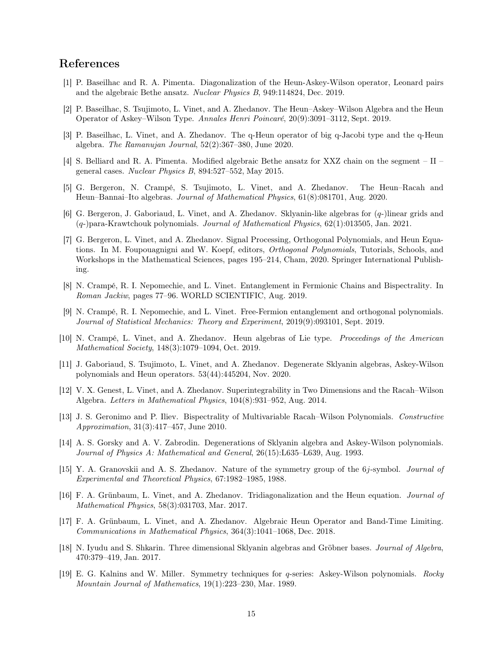### <span id="page-14-10"></span>References

- <span id="page-14-2"></span>[1] P. Baseilhac and R. A. Pimenta. Diagonalization of the Heun-Askey-Wilson operator, Leonard pairs and the algebraic Bethe ansatz. Nuclear Physics B, 949:114824, Dec. 2019.
- <span id="page-14-4"></span>[2] P. Baseilhac, S. Tsujimoto, L. Vinet, and A. Zhedanov. The Heun–Askey–Wilson Algebra and the Heun Operator of Askey–Wilson Type. Annales Henri Poincaré, 20(9):3091–3112, Sept. 2019.
- <span id="page-14-9"></span>[3] P. Baseilhac, L. Vinet, and A. Zhedanov. The q-Heun operator of big q-Jacobi type and the q-Heun algebra. The Ramanujan Journal, 52(2):367–380, June 2020.
- <span id="page-14-5"></span>[4] S. Belliard and R. A. Pimenta. Modified algebraic Bethe ansatz for XXZ chain on the segment – II – general cases. Nuclear Physics B, 894:527–552, May 2015.
- [5] G. Bergeron, N. Crampé, S. Tsujimoto, L. Vinet, and A. Zhedanov. The Heun–Racah and Heun–Bannai–Ito algebras. Journal of Mathematical Physics, 61(8):081701, Aug. 2020.
- <span id="page-14-14"></span>[6] G. Bergeron, J. Gaboriaud, L. Vinet, and A. Zhedanov. Sklyanin-like algebras for (q-)linear grids and (q-)para-Krawtchouk polynomials. Journal of Mathematical Physics, 62(1):013505, Jan. 2021.
- <span id="page-14-6"></span>[7] G. Bergeron, L. Vinet, and A. Zhedanov. Signal Processing, Orthogonal Polynomials, and Heun Equations. In M. Foupouagnigni and W. Koepf, editors, Orthogonal Polynomials, Tutorials, Schools, and Workshops in the Mathematical Sciences, pages 195–214, Cham, 2020. Springer International Publishing.
- <span id="page-14-7"></span>[8] N. Crampé, R. I. Nepomechie, and L. Vinet. Entanglement in Fermionic Chains and Bispectrality. In Roman Jackiw, pages 77–96. WORLD SCIENTIFIC, Aug. 2019.
- <span id="page-14-8"></span>[9] N. Crampé, R. I. Nepomechie, and L. Vinet. Free-Fermion entanglement and orthogonal polynomials. Journal of Statistical Mechanics: Theory and Experiment, 2019(9):093101, Sept. 2019.
- <span id="page-14-3"></span>[10] N. Crampé, L. Vinet, and A. Zhedanov. Heun algebras of Lie type. Proceedings of the American Mathematical Society, 148(3):1079–1094, Oct. 2019.
- <span id="page-14-11"></span>[11] J. Gaboriaud, S. Tsujimoto, L. Vinet, and A. Zhedanov. Degenerate Sklyanin algebras, Askey-Wilson polynomials and Heun operators. 53(44):445204, Nov. 2020.
- <span id="page-14-17"></span>[12] V. X. Genest, L. Vinet, and A. Zhedanov. Superintegrability in Two Dimensions and the Racah–Wilson Algebra. Letters in Mathematical Physics, 104(8):931–952, Aug. 2014.
- <span id="page-14-16"></span>[13] J. S. Geronimo and P. Iliev. Bispectrality of Multivariable Racah–Wilson Polynomials. Constructive Approximation, 31(3):417–457, June 2010.
- <span id="page-14-12"></span>[14] A. S. Gorsky and A. V. Zabrodin. Degenerations of Sklyanin algebra and Askey-Wilson polynomials. Journal of Physics A: Mathematical and General, 26(15):L635–L639, Aug. 1993.
- <span id="page-14-15"></span>[15] Y. A. Granovskii and A. S. Zhedanov. Nature of the symmetry group of the 6j-symbol. Journal of Experimental and Theoretical Physics, 67:1982–1985, 1988.
- <span id="page-14-18"></span>[16] F. A. Grünbaum, L. Vinet, and A. Zhedanov. Tridiagonalization and the Heun equation. Journal of Mathematical Physics, 58(3):031703, Mar. 2017.
- <span id="page-14-1"></span>[17] F. A. Grünbaum, L. Vinet, and A. Zhedanov. Algebraic Heun Operator and Band-Time Limiting. Communications in Mathematical Physics, 364(3):1041–1068, Dec. 2018.
- <span id="page-14-0"></span>[18] N. Iyudu and S. Shkarin. Three dimensional Sklyanin algebras and Gröbner bases. Journal of Algebra, 470:379–419, Jan. 2017.
- <span id="page-14-13"></span>[19] E. G. Kalnins and W. Miller. Symmetry techniques for q-series: Askey-Wilson polynomials. Rocky Mountain Journal of Mathematics, 19(1):223–230, Mar. 1989.